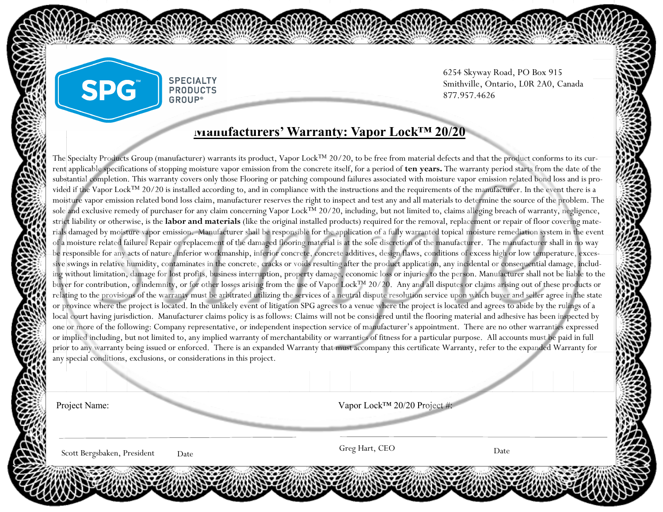## **Manufacturers' Warranty: Vapor Lock™ 20/20**

**SPECIALTY PRODUCTS GROUP®** 

The Specialty Products Group (manufacturer) warrants its product, Vapor Lock™ 20/20, to be free from material defects and that the product conforms to its current applicable specifications of stopping moisture vapor emission from the concrete itself, for a period of **ten years.** The warranty period starts from the date of the substantial completion. This warranty covers only those Flooring or patching compound failures associated with moisture vapor emission related bond loss and is provided if the Vapor Lock™ 20/20 is installed according to, and in compliance with the instructions and the requirements of the manufacturer. In the event there is a moisture vapor emission related bond loss claim, manufacturer reserves the right to inspect and test any and all materials to determine the source of the problem. The sole and exclusive remedy of purchaser for any claim concerning Vapor Lock<sup>TM</sup> 20/20, including, but not limited to, claims alleging breach of warranty, negligence, strict liability or otherwise, is the **labor and materials** (like the original installed products) required for the removal, replacement or repair of floor covering materials damaged by moisture vapor emission. Manufacturer shall be responsible for the application of a fully warranted topical moisture remediation system in the event of a moisture related failure. Repair or replacement of the damaged flooring material is at the sole discretion of the manufacturer. The manufacturer shall in no way be responsible for any acts of nature, inferior workmanship, inferior concrete, concrete additives, design flaws, conditions of excess high or low temperature, excessive swings in relative humidity, contaminates in the concrete, cracks or voids resulting after the product application, any incidental or consequential damage, including without limitation, damage for lost profits, business interruption, property damage, economic loss or injuries to the person. Manufacturer shall not be liable to the buyer for contribution, or indemnity, or for other losses arising from the use of Vapor Lock™ 20/20. Any and all disputes or claims arising out of these products or relating to the provisions of the warranty must be arbitrated utilizing the services of a neutral dispute resolution service upon which buyer and seller agree in the state or province where the project is located. In the unlikely event of litigation SPG agrees to a venue where the project is located and agrees to abide by the rulings of a local court having jurisdiction. Manufacturer claims policy is as follows: Claims will not be considered until the flooring material and adhesive has been inspected by one or more of the following: Company representative, or independent inspection service of manufacturer's appointment. There are no other warranties expressed or implied including, but not limited to, any implied warranty of merchantability or warranties of fitness for a particular purpose. All accounts must be paid in full prior to any warranty being issued or enforced. There is an expanded Warranty that must accompany this certificate Warranty, refer to the expanded Warranty for any special conditions, exclusions, or considerations in this project.

Project Name: Vapor Lock™ 20/20 Project #:

Greg Hart, CEO Scott Bergsbaken, President

Date **Date** Greg Hart, CEO **Date** 

6254 Skyway Road, PO Box 915 Smithville, Ontario, L0R 2A0, Canada

877.957.4626